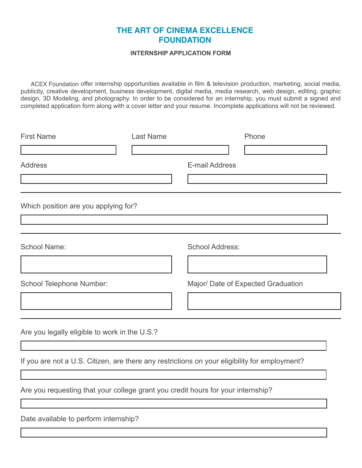## **ITHE ART OF CINEMA EXCELLENCE FOUNDATION FOUNDATION**

## **INTERNSHIP APPLICATION FORM**

ACEX Foundation offer internship opportunities available in film & television production, marketing, social media, publicity, creative development, business development, digital media, media research, web design, editing, graphic design, 3D Modeling, and photography. In order to be considered for an internship, you must submit a signed and completed application form along with a cover letter and your resume. Incomplete applications will not be reviewed.

| <b>First Name</b>                                                                             | <b>Last Name</b> |                        | Phone                              |
|-----------------------------------------------------------------------------------------------|------------------|------------------------|------------------------------------|
|                                                                                               |                  |                        |                                    |
| <b>Address</b>                                                                                |                  | E-mail Address         |                                    |
|                                                                                               |                  |                        |                                    |
| Which position are you applying for?                                                          |                  |                        |                                    |
|                                                                                               |                  |                        | $\blacktriangledown$               |
| <b>School Name:</b>                                                                           |                  | <b>School Address:</b> |                                    |
|                                                                                               |                  |                        |                                    |
| School Telephone Number:                                                                      |                  |                        | Major/ Date of Expected Graduation |
|                                                                                               |                  |                        |                                    |
| Are you legally eligible to work in the U.S.?                                                 |                  |                        |                                    |
| If you are not a U.S. Citizen, are there any restrictions on your eligibility for employment? |                  |                        |                                    |
| Are you requesting that your college grant you credit hours for your internship?              |                  |                        |                                    |
|                                                                                               |                  |                        |                                    |
| Date available to perform internship?                                                         |                  |                        |                                    |